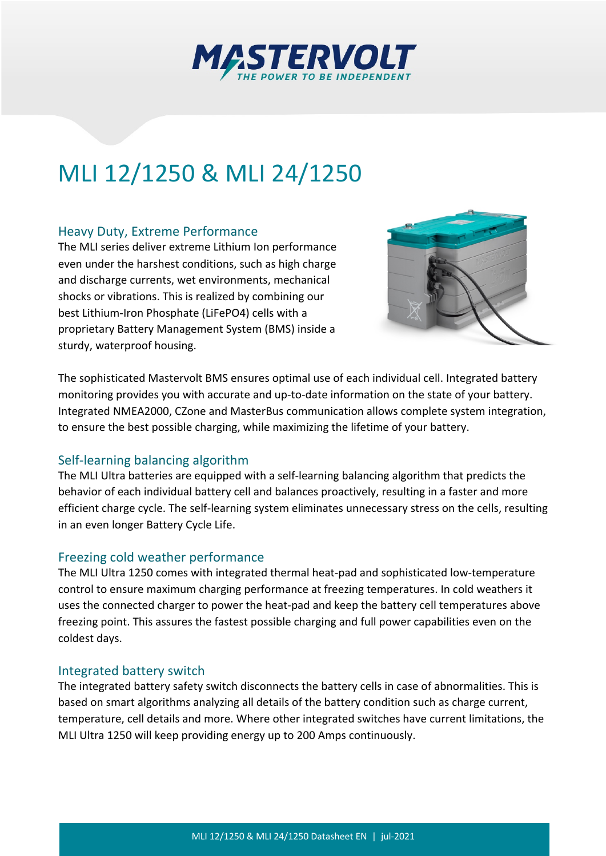

# MLI 12/1250 & MLI 24/1250

#### Heavy Duty, Extreme Performance

The MLI series deliver extreme Lithium Ion performance even under the harshest conditions, such as high charge and discharge currents, wet environments, mechanical shocks or vibrations. This is realized by combining our best Lithium-Iron Phosphate (LiFePO4) cells with a proprietary Battery Management System (BMS) inside a sturdy, waterproof housing.



The sophisticated Mastervolt BMS ensures optimal use of each individual cell. Integrated battery monitoring provides you with accurate and up-to-date information on the state of your battery. Integrated NMEA2000, CZone and MasterBus communication allows complete system integration, to ensure the best possible charging, while maximizing the lifetime of your battery.

#### Self-learning balancing algorithm

The MLI Ultra batteries are equipped with a self-learning balancing algorithm that predicts the behavior of each individual battery cell and balances proactively, resulting in a faster and more efficient charge cycle. The self-learning system eliminates unnecessary stress on the cells, resulting in an even longer Battery Cycle Life.

#### Freezing cold weather performance

The MLI Ultra 1250 comes with integrated thermal heat-pad and sophisticated low-temperature control to ensure maximum charging performance at freezing temperatures. In cold weathers it uses the connected charger to power the heat-pad and keep the battery cell temperatures above freezing point. This assures the fastest possible charging and full power capabilities even on the coldest days.

#### Integrated battery switch

The integrated battery safety switch disconnects the battery cells in case of abnormalities. This is based on smart algorithms analyzing all details of the battery condition such as charge current, temperature, cell details and more. Where other integrated switches have current limitations, the MLI Ultra 1250 will keep providing energy up to 200 Amps continuously.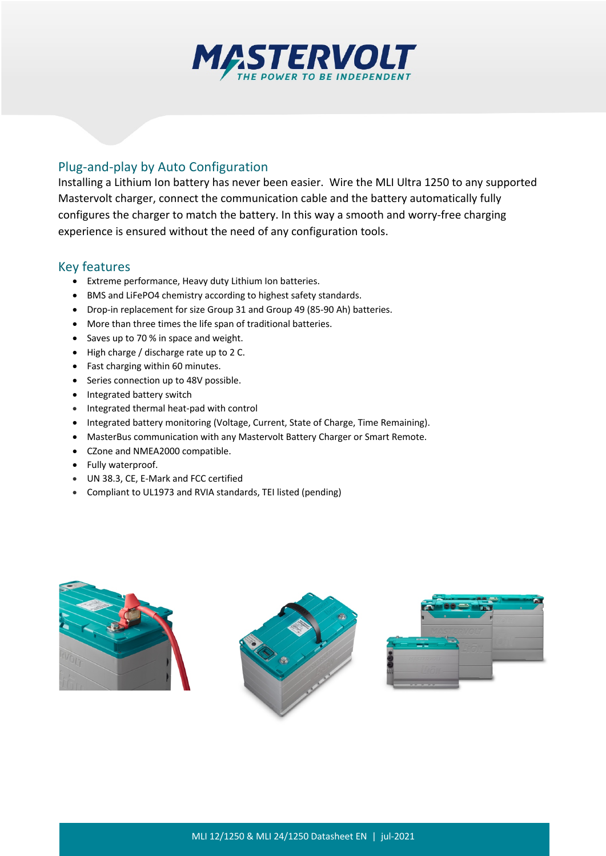

### Plug-and-play by Auto Configuration

Installing a Lithium Ion battery has never been easier. Wire the MLI Ultra 1250 to any supported Mastervolt charger, connect the communication cable and the battery automatically fully configures the charger to match the battery. In this way a smooth and worry-free charging experience is ensured without the need of any configuration tools.

#### Key features

- Extreme performance, Heavy duty Lithium Ion batteries.
- BMS and LiFePO4 chemistry according to highest safety standards.
- Drop-in replacement for size Group 31 and Group 49 (85-90 Ah) batteries.
- More than three times the life span of traditional batteries.
- Saves up to 70 % in space and weight.
- High charge / discharge rate up to 2 C.
- Fast charging within 60 minutes.
- Series connection up to 48V possible.
- Integrated battery switch
- Integrated thermal heat-pad with control
- Integrated battery monitoring (Voltage, Current, State of Charge, Time Remaining).
- MasterBus communication with any Mastervolt Battery Charger or Smart Remote.
- CZone and NMEA2000 compatible.
- Fully waterproof.
- UN 38.3, CE, E-Mark and FCC certified
- Compliant to UL1973 and RVIA standards, TEI listed (pending)